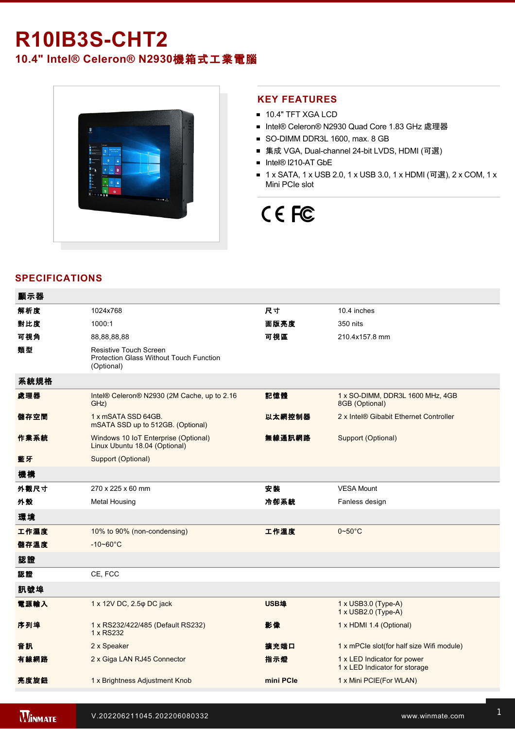# **R10IB3S-CHT2**

**10.4" Intel® Celeron® N2930**機箱式工業電腦



## **KEY FEATURES**

- **10.4" TFT XGA LCD**
- Intel® Celeron® N2930 Quad Core 1.83 GHz 處理器
- SO-DIMM DDR3L 1600, max. 8 GB
- 集成 VGA, Dual-channel 24-bit LVDS, HDMI (可選)
- Intel® I210-AT GbE
- 1 x SATA, 1 x USB 2.0, 1 x USB 3.0, 1 x HDMI (可選), 2 x COM, 1 x Mini PCIe slot

# CE FC

# **SPECIFICATIONS**

| 顯示器  |                                                                                 |           |                                                              |
|------|---------------------------------------------------------------------------------|-----------|--------------------------------------------------------------|
| 解析度  | 1024x768                                                                        | 尺寸        | 10.4 inches                                                  |
| 對比度  | 1000:1                                                                          | 面版亮度      | 350 nits                                                     |
| 可視角  | 88,88,88,88                                                                     | 可視區       | 210.4x157.8 mm                                               |
| 類型   | Resistive Touch Screen<br>Protection Glass Without Touch Function<br>(Optional) |           |                                                              |
| 系統規格 |                                                                                 |           |                                                              |
| 處理器  | Intel® Celeron® N2930 (2M Cache, up to 2.16<br>GHz)                             | 記憶體       | 1 x SO-DIMM, DDR3L 1600 MHz, 4GB<br>8GB (Optional)           |
| 儲存空間 | 1 x mSATA SSD 64GB.<br>mSATA SSD up to 512GB. (Optional)                        | 以太網控制器    | 2 x Intel® Gibabit Ethernet Controller                       |
| 作業系統 | Windows 10 IoT Enterprise (Optional)<br>Linux Ubuntu 18.04 (Optional)           | 無線通訊網路    | Support (Optional)                                           |
| 藍牙   | Support (Optional)                                                              |           |                                                              |
| 機構   |                                                                                 |           |                                                              |
| 外觀尺寸 | 270 x 225 x 60 mm                                                               | 安装        | <b>VESA Mount</b>                                            |
| 外殼   | <b>Metal Housing</b>                                                            | 冷卻系統      | Fanless design                                               |
| 環境   |                                                                                 |           |                                                              |
| 工作濕度 | 10% to 90% (non-condensing)                                                     | 工作溫度      | $0 - 50$ °C                                                  |
| 儲存溫度 | $-10 - 60^{\circ}$ C                                                            |           |                                                              |
| 認證   |                                                                                 |           |                                                              |
| 認證   | CE, FCC                                                                         |           |                                                              |
| 訊號埠  |                                                                                 |           |                                                              |
| 電源輸入 | 1 x 12V DC, 2.5 $\varphi$ DC jack                                               | USB埠      | 1 x USB3.0 (Type-A)<br>1 x USB2.0 (Type-A)                   |
| 序列埠  | 1 x RS232/422/485 (Default RS232)<br>1 x RS232                                  | 影像        | 1 x HDMI 1.4 (Optional)                                      |
| 音訊   | 2 x Speaker                                                                     | 擴充端口      | 1 x mPCle slot(for half size Wifi module)                    |
| 有線網路 | 2 x Giga LAN RJ45 Connector                                                     | 指示燈       | 1 x LED Indicator for power<br>1 x LED Indicator for storage |
| 亮度旋鈕 | 1 x Brightness Adjustment Knob                                                  | mini PCIe | 1 x Mini PCIE(For WLAN)                                      |
|      |                                                                                 |           |                                                              |